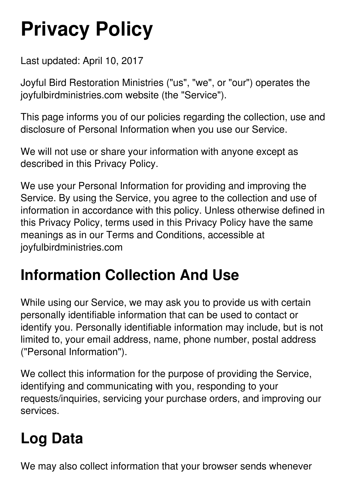# **Privacy Policy**

Last updated: April 10, 2017

Joyful Bird Restoration Ministries ("us", "we", or "our") operates the joyfulbirdministries.com website (the "Service").

This page informs you of our policies regarding the collection, use and disclosure of Personal Information when you use our Service.

We will not use or share your information with anyone except as described in this Privacy Policy.

We use your Personal Information for providing and improving the Service. By using the Service, you agree to the collection and use of information in accordance with this policy. Unless otherwise defined in this Privacy Policy, terms used in this Privacy Policy have the same meanings as in our Terms and Conditions, accessible at joyfulbirdministries.com

#### **Information Collection And Use**

While using our Service, we may ask you to provide us with certain personally identifiable information that can be used to contact or identify you. Personally identifiable information may include, but is not limited to, your email address, name, phone number, postal address ("Personal Information").

We collect this information for the purpose of providing the Service, identifying and communicating with you, responding to your requests/inquiries, servicing your purchase orders, and improving our services.

## **Log Data**

We may also collect information that your browser sends whenever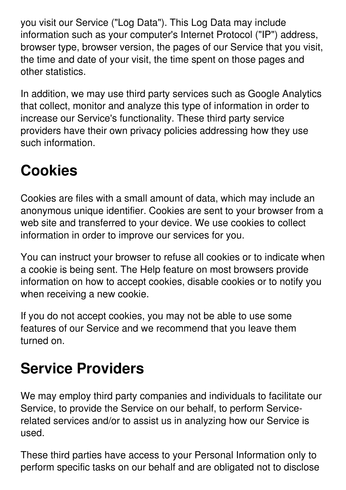you visit our Service ("Log Data"). This Log Data may include information such as your computer's Internet Protocol ("IP") address, browser type, browser version, the pages of our Service that you visit, the time and date of your visit, the time spent on those pages and other statistics.

In addition, we may use third party services such as Google Analytics that collect, monitor and analyze this type of information in order to increase our Service's functionality. These third party service providers have their own privacy policies addressing how they use such information.

## **Cookies**

Cookies are files with a small amount of data, which may include an anonymous unique identifier. Cookies are sent to your browser from a web site and transferred to your device. We use cookies to collect information in order to improve our services for you.

You can instruct your browser to refuse all cookies or to indicate when a cookie is being sent. The Help feature on most browsers provide information on how to accept cookies, disable cookies or to notify you when receiving a new cookie.

If you do not accept cookies, you may not be able to use some features of our Service and we recommend that you leave them turned on.

#### **Service Providers**

We may employ third party companies and individuals to facilitate our Service, to provide the Service on our behalf, to perform Servicerelated services and/or to assist us in analyzing how our Service is used.

These third parties have access to your Personal Information only to perform specific tasks on our behalf and are obligated not to disclose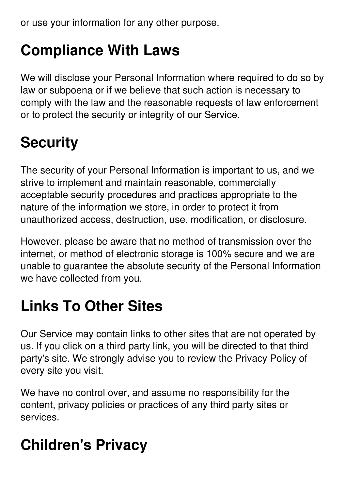or use your information for any other purpose.

#### **Compliance With Laws**

We will disclose your Personal Information where required to do so by law or subpoena or if we believe that such action is necessary to comply with the law and the reasonable requests of law enforcement or to protect the security or integrity of our Service.

## **Security**

The security of your Personal Information is important to us, and we strive to implement and maintain reasonable, commercially acceptable security procedures and practices appropriate to the nature of the information we store, in order to protect it from unauthorized access, destruction, use, modification, or disclosure.

However, please be aware that no method of transmission over the internet, or method of electronic storage is 100% secure and we are unable to guarantee the absolute security of the Personal Information we have collected from you.

## **Links To Other Sites**

Our Service may contain links to other sites that are not operated by us. If you click on a third party link, you will be directed to that third party's site. We strongly advise you to review the Privacy Policy of every site you visit.

We have no control over, and assume no responsibility for the content, privacy policies or practices of any third party sites or services.

## **Children's Privacy**